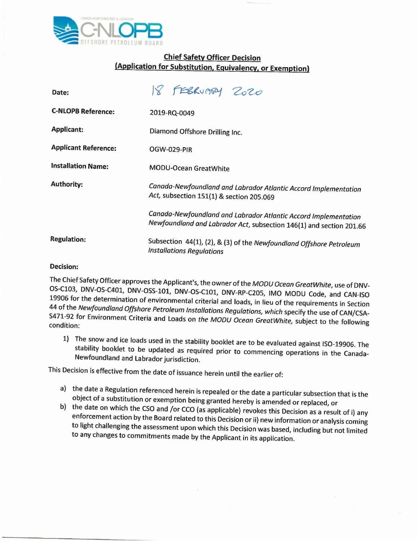

## **Chief Safety Officer Decision (Application for Substitution, Equivalency, or Exemption)**

| Date:                       | 18 FEBRUARY ZOZO                                                                                                                       |
|-----------------------------|----------------------------------------------------------------------------------------------------------------------------------------|
| <b>C-NLOPB Reference:</b>   | 2019-RQ-0049                                                                                                                           |
| <b>Applicant:</b>           | Diamond Offshore Drilling Inc.                                                                                                         |
| <b>Applicant Reference:</b> | OGW-029-PIR                                                                                                                            |
| <b>Installation Name:</b>   | <b>MODU-Ocean GreatWhite</b>                                                                                                           |
| <b>Authority:</b>           | Canada-Newfoundland and Labrador Atlantic Accord Implementation<br>Act, subsection 151(1) & section 205.069                            |
|                             | Canada-Newfoundland and Labrador Atlantic Accord Implementation<br>Newfoundland and Labrador Act, subsection 146(1) and section 201.66 |
| <b>Regulation:</b>          | Subsection 44(1), (2), & (3) of the Newfoundland Offshore Petroleum<br><b>Installations Regulations</b>                                |

## **Decision:**

The Chief Safety Officer approves the Applicant's, the owner of the *MODU Ocean GreatWhite,* use of DNV-OS-Cl03, DNV-OS-C401, DNV-OSS-101, DNV-OS-Cl01, DNV-RP-C205, IMO MODU Code, and CAN-ISO 19906 for the determination of environmental criterial and loads, in lieu of the requirements in Section 44 of the *Newfoundland Offshore Petroleum Installations Regulations, which* specify the use of CANjCSA-S471-92 for Environment Criteria and Loads on *the MODU Ocean GreatWhite,* subject to the following condition:

1) The snow and ice loads used in the stability booklet are to be evaluated against ISO-19906. The stability booklet to be updated as required prior to commencing operations in the Canada-Newfoundland and Labrador jurisdiction.

This Decision is effective from the date of issuance herein until the earlier of:

- a) the date a Regulation referenced herein is repealed or the date a particular subsection that is the object of a substitution or exemption being granted hereby is amended or replaced, or
- b) the date on which the CSo and *jor* CCo (as applicable) revokes this Decision as a result of i) any enforcement action by the Board related to this Decision or ii) new information or analysis coming to light challenging the assessment upon which this Decision was based, including but not limited to any changes to commitments made by the Applicant in its application.